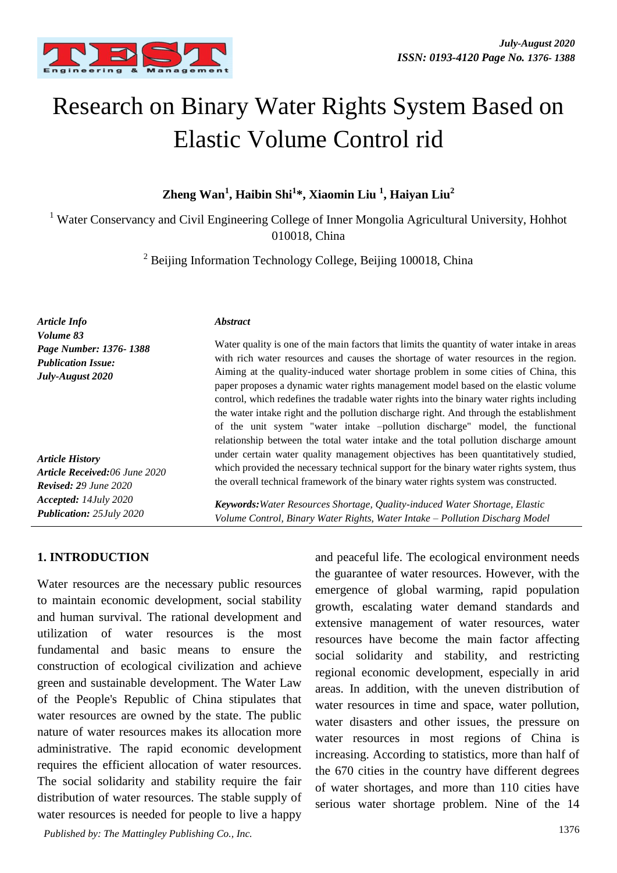

# Research on Binary Water Rights System Based on Elastic Volume Control rid

**Zheng Wan<sup>1</sup> , Haibin Shi<sup>1</sup> \*, Xiaomin Liu <sup>1</sup> , Haiyan Liu<sup>2</sup>**

<sup>1</sup> Water Conservancy and Civil Engineering College of Inner Mongolia Agricultural University, Hohhot 010018, China

<sup>2</sup> Beijing Information Technology College, Beijing 100018, China

| Article Info                                                                                       | <i><b>Abstract</b></i>                                                                                                                                                                                                                                                                                                                                                                                                                                                                                                                                |
|----------------------------------------------------------------------------------------------------|-------------------------------------------------------------------------------------------------------------------------------------------------------------------------------------------------------------------------------------------------------------------------------------------------------------------------------------------------------------------------------------------------------------------------------------------------------------------------------------------------------------------------------------------------------|
| Volume 83<br>Page Number: 1376-1388<br><b>Publication Issue:</b><br>July-August 2020               | Water quality is one of the main factors that limits the quantity of water intake in areas<br>with rich water resources and causes the shortage of water resources in the region.<br>Aiming at the quality-induced water shortage problem in some cities of China, this<br>paper proposes a dynamic water rights management model based on the elastic volume<br>control, which redefines the tradable water rights into the binary water rights including<br>the water intake right and the pollution discharge right. And through the establishment |
| <b>Article History</b><br><b>Article Received:06 June 2020</b><br><b>Revised:</b> $29$ June $2020$ | of the unit system "water intake -pollution discharge" model, the functional<br>relationship between the total water intake and the total pollution discharge amount<br>under certain water quality management objectives has been quantitatively studied,<br>which provided the necessary technical support for the binary water rights system, thus<br>the overall technical framework of the binary water rights system was constructed.                                                                                                           |
| Accepted: 14July 2020<br><b>Publication: 25July 2020</b>                                           | <b>Keywords:</b> Water Resources Shortage, Quality-induced Water Shortage, Elastic<br>Volume Control, Binary Water Rights, Water Intake - Pollution Discharg Model                                                                                                                                                                                                                                                                                                                                                                                    |

## **1. INTRODUCTION**

Water resources are the necessary public resources to maintain economic development, social stability and human survival. The rational development and utilization of water resources is the most fundamental and basic means to ensure the construction of ecological civilization and achieve green and sustainable development. The Water Law of the People's Republic of China stipulates that water resources are owned by the state. The public nature of water resources makes its allocation more administrative. The rapid economic development requires the efficient allocation of water resources. The social solidarity and stability require the fair distribution of water resources. The stable supply of water resources is needed for people to live a happy

1376 *Published by: The Mattingley Publishing Co., Inc.*

and peaceful life. The ecological environment needs the guarantee of water resources. However, with the emergence of global warming, rapid population growth, escalating water demand standards and extensive management of water resources, water resources have become the main factor affecting social solidarity and stability, and restricting regional economic development, especially in arid areas. In addition, with the uneven distribution of water resources in time and space, water pollution, water disasters and other issues, the pressure on water resources in most regions of China is increasing. According to statistics, more than half of the 670 cities in the country have different degrees of water shortages, and more than 110 cities have serious water shortage problem. Nine of the 14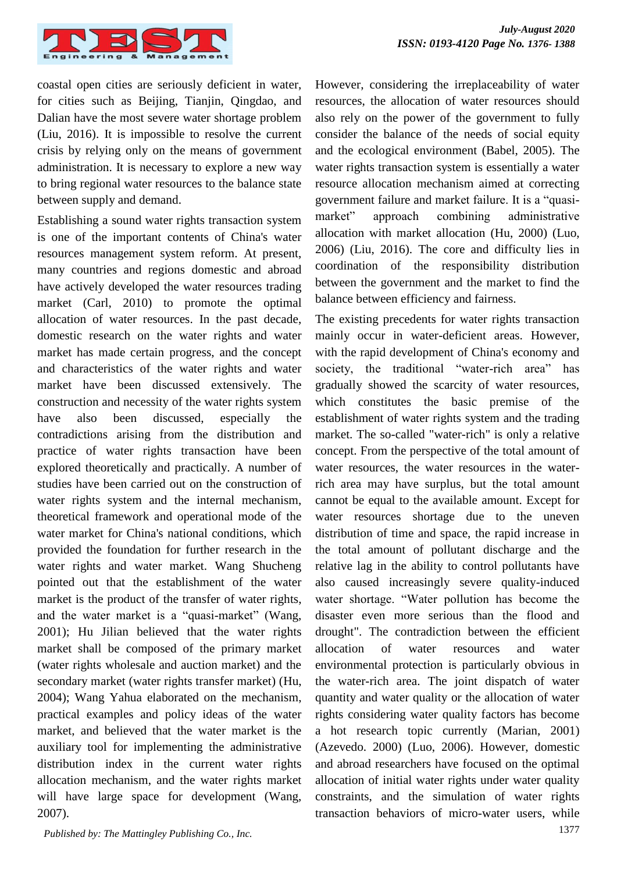

coastal open cities are seriously deficient in water, for cities such as Beijing, Tianjin, Qingdao, and Dalian have the most severe water shortage problem (Liu, 2016). It is impossible to resolve the current crisis by relying only on the means of government administration. It is necessary to explore a new way to bring regional water resources to the balance state between supply and demand.

Establishing a sound water rights transaction system is one of the important contents of China's water resources management system reform. At present, many countries and regions domestic and abroad have actively developed the water resources trading market (Carl, 2010) to promote the optimal allocation of water resources. In the past decade, domestic research on the water rights and water market has made certain progress, and the concept and characteristics of the water rights and water market have been discussed extensively. The construction and necessity of the water rights system have also been discussed, especially the contradictions arising from the distribution and practice of water rights transaction have been explored theoretically and practically. A number of studies have been carried out on the construction of water rights system and the internal mechanism, theoretical framework and operational mode of the water market for China's national conditions, which provided the foundation for further research in the water rights and water market. Wang Shucheng pointed out that the establishment of the water market is the product of the transfer of water rights, and the water market is a "quasi-market" (Wang, 2001); Hu Jilian believed that the water rights market shall be composed of the primary market (water rights wholesale and auction market) and the secondary market (water rights transfer market) (Hu, 2004); Wang Yahua elaborated on the mechanism, practical examples and policy ideas of the water market, and believed that the water market is the auxiliary tool for implementing the administrative distribution index in the current water rights allocation mechanism, and the water rights market will have large space for development (Wang, 2007).

However, considering the irreplaceability of water resources, the allocation of water resources should also rely on the power of the government to fully consider the balance of the needs of social equity and the ecological environment (Babel, 2005). The water rights transaction system is essentially a water resource allocation mechanism aimed at correcting government failure and market failure. It is a "quasimarket" approach combining administrative allocation with market allocation (Hu, 2000) (Luo, 2006) (Liu, 2016). The core and difficulty lies in coordination of the responsibility distribution between the government and the market to find the balance between efficiency and fairness.

The existing precedents for water rights transaction mainly occur in water-deficient areas. However, with the rapid development of China's economy and society, the traditional "water-rich area" has gradually showed the scarcity of water resources, which constitutes the basic premise of the establishment of water rights system and the trading market. The so-called "water-rich" is only a relative concept. From the perspective of the total amount of water resources, the water resources in the waterrich area may have surplus, but the total amount cannot be equal to the available amount. Except for water resources shortage due to the uneven distribution of time and space, the rapid increase in the total amount of pollutant discharge and the relative lag in the ability to control pollutants have also caused increasingly severe quality-induced water shortage. "Water pollution has become the disaster even more serious than the flood and drought". The contradiction between the efficient allocation of water resources and water environmental protection is particularly obvious in the water-rich area. The joint dispatch of water quantity and water quality or the allocation of water rights considering water quality factors has become a hot research topic currently (Marian, 2001) (Azevedo. 2000) (Luo, 2006). However, domestic and abroad researchers have focused on the optimal allocation of initial water rights under water quality constraints, and the simulation of water rights transaction behaviors of micro-water users, while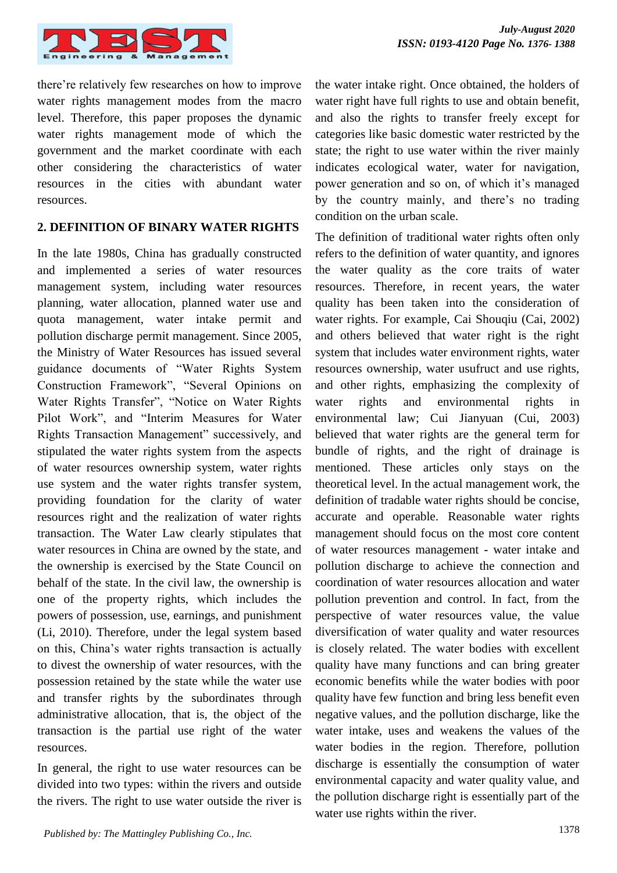

there're relatively few researches on how to improve water rights management modes from the macro level. Therefore, this paper proposes the dynamic water rights management mode of which the government and the market coordinate with each other considering the characteristics of water resources in the cities with abundant water resources.

#### **2. DEFINITION OF BINARY WATER RIGHTS**

In the late 1980s, China has gradually constructed and implemented a series of water resources management system, including water resources planning, water allocation, planned water use and quota management, water intake permit and pollution discharge permit management. Since 2005, the Ministry of Water Resources has issued several guidance documents of "Water Rights System Construction Framework", "Several Opinions on Water Rights Transfer", "Notice on Water Rights Pilot Work", and "Interim Measures for Water Rights Transaction Management" successively, and stipulated the water rights system from the aspects of water resources ownership system, water rights use system and the water rights transfer system, providing foundation for the clarity of water resources right and the realization of water rights transaction. The Water Law clearly stipulates that water resources in China are owned by the state, and the ownership is exercised by the State Council on behalf of the state. In the civil law, the ownership is one of the property rights, which includes the powers of possession, use, earnings, and punishment (Li, 2010). Therefore, under the legal system based on this, China's water rights transaction is actually to divest the ownership of water resources, with the possession retained by the state while the water use and transfer rights by the subordinates through administrative allocation, that is, the object of the transaction is the partial use right of the water resources.

In general, the right to use water resources can be divided into two types: within the rivers and outside the rivers. The right to use water outside the river is the water intake right. Once obtained, the holders of water right have full rights to use and obtain benefit, and also the rights to transfer freely except for categories like basic domestic water restricted by the state; the right to use water within the river mainly indicates ecological water, water for navigation, power generation and so on, of which it's managed by the country mainly, and there's no trading condition on the urban scale.

The definition of traditional water rights often only refers to the definition of water quantity, and ignores the water quality as the core traits of water resources. Therefore, in recent years, the water quality has been taken into the consideration of water rights. For example, Cai Shouqiu (Cai, 2002) and others believed that water right is the right system that includes water environment rights, water resources ownership, water usufruct and use rights, and other rights, emphasizing the complexity of water rights and environmental rights in environmental law; Cui Jianyuan (Cui, 2003) believed that water rights are the general term for bundle of rights, and the right of drainage is mentioned. These articles only stays on the theoretical level. In the actual management work, the definition of tradable water rights should be concise, accurate and operable. Reasonable water rights management should focus on the most core content of water resources management - water intake and pollution discharge to achieve the connection and coordination of water resources allocation and water pollution prevention and control. In fact, from the perspective of water resources value, the value diversification of water quality and water resources is closely related. The water bodies with excellent quality have many functions and can bring greater economic benefits while the water bodies with poor quality have few function and bring less benefit even negative values, and the pollution discharge, like the water intake, uses and weakens the values of the water bodies in the region. Therefore, pollution discharge is essentially the consumption of water environmental capacity and water quality value, and the pollution discharge right is essentially part of the water use rights within the river.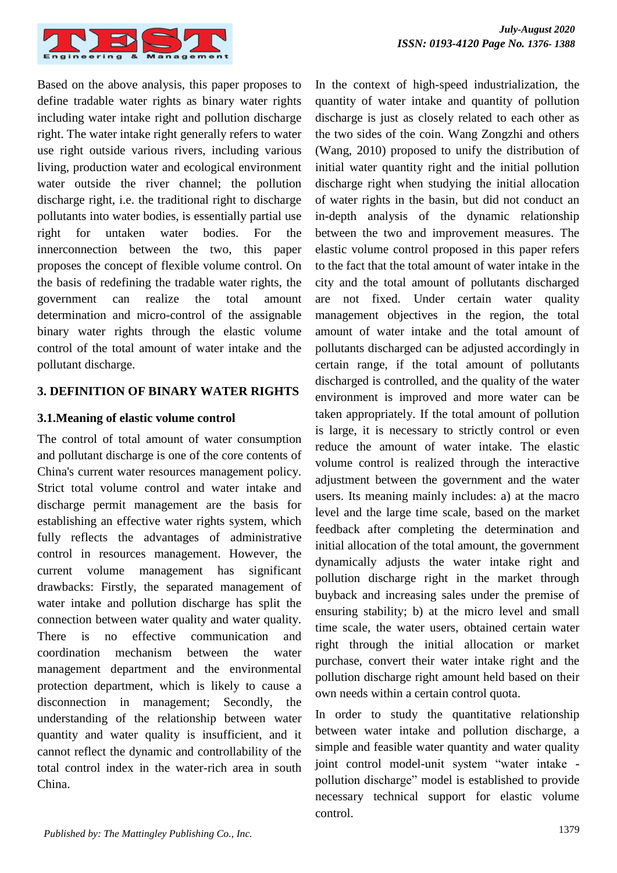

Based on the above analysis, this paper proposes to define tradable water rights as binary water rights including water intake right and pollution discharge right. The water intake right generally refers to water use right outside various rivers, including various living, production water and ecological environment water outside the river channel; the pollution discharge right, i.e. the traditional right to discharge pollutants into water bodies, is essentially partial use right for untaken water bodies. For the innerconnection between the two, this paper proposes the concept of flexible volume control. On the basis of redefining the tradable water rights, the government can realize the total amount determination and micro-control of the assignable binary water rights through the elastic volume control of the total amount of water intake and the pollutant discharge.

#### **3. DEFINITION OF BINARY WATER RIGHTS**

#### **3.1.Meaning of elastic volume control**

The control of total amount of water consumption and pollutant discharge is one of the core contents of China's current water resources management policy. Strict total volume control and water intake and discharge permit management are the basis for establishing an effective water rights system, which fully reflects the advantages of administrative control in resources management. However, the current volume management has significant drawbacks: Firstly, the separated management of water intake and pollution discharge has split the connection between water quality and water quality. There is no effective communication and coordination mechanism between the water management department and the environmental protection department, which is likely to cause a disconnection in management; Secondly, the understanding of the relationship between water quantity and water quality is insufficient, and it cannot reflect the dynamic and controllability of the total control index in the water-rich area in south China.

In the context of high-speed industrialization, the quantity of water intake and quantity of pollution discharge is just as closely related to each other as the two sides of the coin. Wang Zongzhi and others (Wang, 2010) proposed to unify the distribution of initial water quantity right and the initial pollution discharge right when studying the initial allocation of water rights in the basin, but did not conduct an in-depth analysis of the dynamic relationship between the two and improvement measures. The elastic volume control proposed in this paper refers to the fact that the total amount of water intake in the city and the total amount of pollutants discharged are not fixed. Under certain water quality management objectives in the region, the total amount of water intake and the total amount of pollutants discharged can be adjusted accordingly in certain range, if the total amount of pollutants discharged is controlled, and the quality of the water environment is improved and more water can be taken appropriately. If the total amount of pollution is large, it is necessary to strictly control or even reduce the amount of water intake. The elastic volume control is realized through the interactive adjustment between the government and the water users. Its meaning mainly includes: a) at the macro level and the large time scale, based on the market feedback after completing the determination and initial allocation of the total amount, the government dynamically adjusts the water intake right and pollution discharge right in the market through buyback and increasing sales under the premise of ensuring stability; b) at the micro level and small time scale, the water users, obtained certain water right through the initial allocation or market purchase, convert their water intake right and the pollution discharge right amount held based on their own needs within a certain control quota.

In order to study the quantitative relationship between water intake and pollution discharge, a simple and feasible water quantity and water quality joint control model-unit system "water intake pollution discharge" model is established to provide necessary technical support for elastic volume control.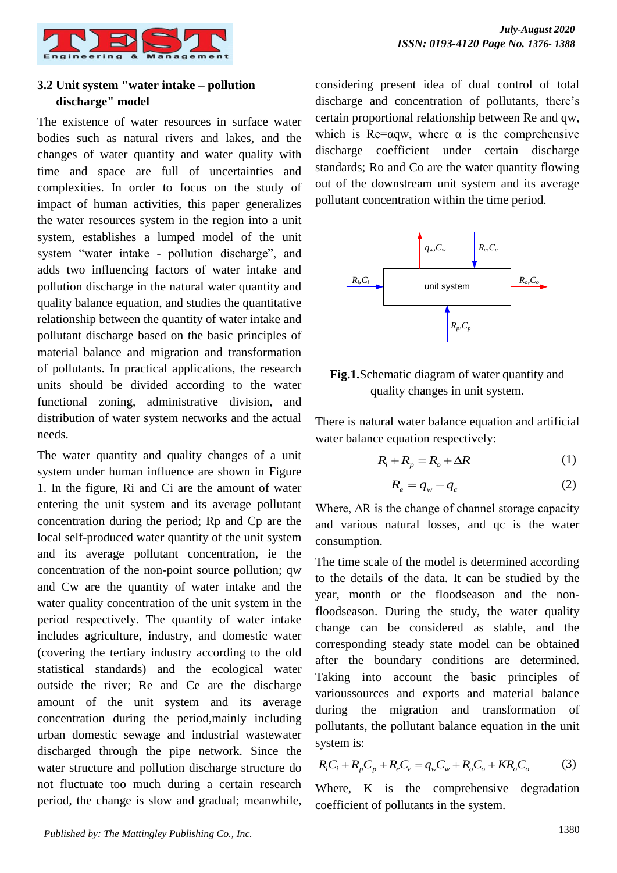## **3.2 Unit system "water intake – pollution discharge" model**

The existence of water resources in surface water bodies such as natural rivers and lakes, and the changes of water quantity and water quality with time and space are full of uncertainties and complexities. In order to focus on the study of impact of human activities, this paper generalizes the water resources system in the region into a unit system, establishes a lumped model of the unit system "water intake - pollution discharge", and adds two influencing factors of water intake and pollution discharge in the natural water quantity and quality balance equation, and studies the quantitative relationship between the quantity of water intake and pollutant discharge based on the basic principles of material balance and migration and transformation of pollutants. In practical applications, the research units should be divided according to the water functional zoning, administrative division, and distribution of water system networks and the actual needs.

The water quantity and quality changes of a unit system under human influence are shown in Figure 1. In the figure, Ri and Ci are the amount of water entering the unit system and its average pollutant concentration during the period; Rp and Cp are the local self-produced water quantity of the unit system and its average pollutant concentration, ie the concentration of the non-point source pollution; qw and Cw are the quantity of water intake and the water quality concentration of the unit system in the period respectively. The quantity of water intake includes agriculture, industry, and domestic water (covering the tertiary industry according to the old statistical standards) and the ecological water outside the river; Re and Ce are the discharge amount of the unit system and its average concentration during the period,mainly including urban domestic sewage and industrial wastewater discharged through the pipe network. Since the water structure and pollution discharge structure do not fluctuate too much during a certain research period, the change is slow and gradual; meanwhile,

considering present idea of dual control of total discharge and concentration of pollutants, there's certain proportional relationship between Re and qw, which is Re= $\alpha$ qw, where  $\alpha$  is the comprehensive discharge coefficient under certain discharge standards; Ro and Co are the water quantity flowing out of the downstream unit system and its average pollutant concentration within the time period.





There is natural water balance equation and artificial water balance equation respectively:

$$
R_i + R_p = R_o + \Delta R \tag{1}
$$

$$
R_e = q_w - q_c \tag{2}
$$

Where,  $\Delta R$  is the change of channel storage capacity and various natural losses, and qc is the water consumption.

The time scale of the model is determined according to the details of the data. It can be studied by the year, month or the floodseason and the nonfloodseason. During the study, the water quality change can be considered as stable, and the corresponding steady state model can be obtained after the boundary conditions are determined. Taking into account the basic principles of varioussources and exports and material balance during the migration and transformation of pollutants, the pollutant balance equation in the unit system is:

system is:  
\n
$$
R_i C_i + R_p C_p + R_e C_e = q_w C_w + R_o C_o + K R_o C_o
$$
\n(3)

Where, K is the comprehensive degradation coefficient of pollutants in the system.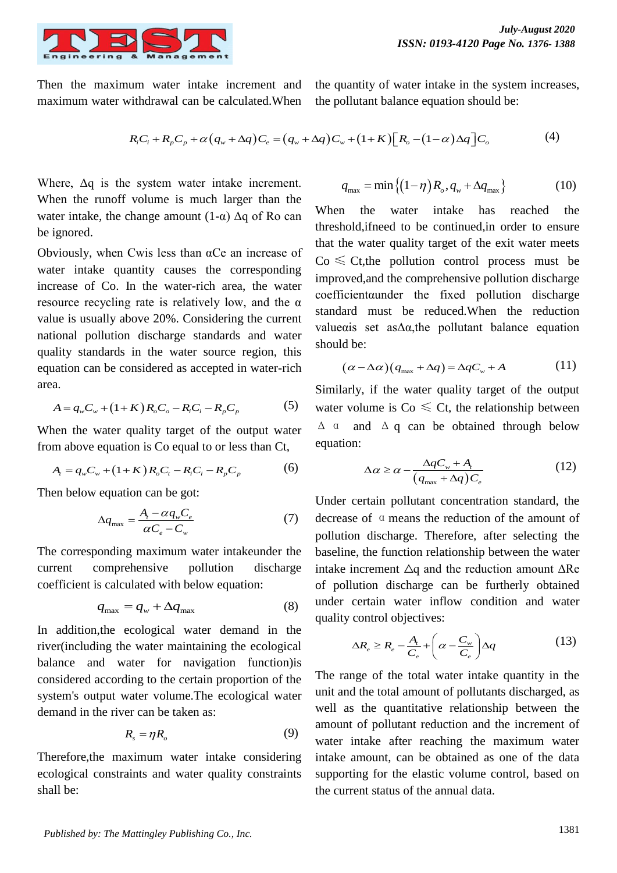

Then the maximum water intake increment and maximum water withdrawal can be calculated.When the quantity of water intake in the system increases, the pollutant balance equation should be:

$$
\begin{aligned}\n\text{intd} \text{rawal can be calculated.} \text{When} \quad & \text{the pollutant balance equation should be:} \\
R_i C_i + R_p C_p + \alpha \left( q_w + \Delta q \right) C_e = \left( q_w + \Delta q \right) C_w + \left( 1 + K \right) \left[ R_o - \left( 1 - \alpha \right) \Delta q \right] C_o\n\end{aligned}\n\tag{4}
$$

Where,  $\Delta q$  is the system water intake increment. When the runoff volume is much larger than the water intake, the change amount  $(1-\alpha)$   $\Delta q$  of Ro can be ignored.

Obviously, when Cwis less than  $\alpha$ Ce an increase of water intake quantity causes the corresponding increase of Co. In the water-rich area, the water resource recycling rate is relatively low, and the  $\alpha$ value is usually above 20%. Considering the current national pollution discharge standards and water quality standards in the water source region, this equation can be considered as accepted in water-rich area.

a.  
\n
$$
A = q_w C_w + (1 + K) R_o C_o - R_i C_i - R_p C_p
$$
\n(5)

When the water quality target of the output water from above equation is Co equal to or less than Ct,<br>  $A_i = q_w C_w + (1 + K)R_oC_i - R_iC_i - R_pC_p$  (i)

$$
A_{i} = q_{w}C_{w} + (1 + K)R_{o}C_{i} - R_{i}C_{i} - R_{p}C_{p}
$$
 (6)

Then below equation can be got:

$$
\Delta q_{\text{max}} = \frac{A_t - \alpha q_w C_e}{\alpha C_e - C_w} \tag{7}
$$

The corresponding maximum water intakeunder the current comprehensive pollution discharge coefficient is calculated with below equation:

$$
q_{\text{max}} = q_w + \Delta q_{\text{max}} \tag{8}
$$

In addition,the ecological water demand in the river(including the water maintaining the ecological balance and water for navigation function)is considered according to the certain proportion of the system's output water volume.The ecological water demand in the river can be taken as:

$$
R_s = \eta R_o \tag{9}
$$

Therefore,the maximum water intake considering ecological constraints and water quality constraints shall be:

$$
q_{\text{max}} = \min\left\{ \left(1 - \eta\right) R_o, q_w + \Delta q_{\text{max}} \right\} \tag{10}
$$

When the water intake has reached the threshold,ifneed to be continued,in order to ensure that the water quality target of the exit water meets  $Co \leq Ct$ , the pollution control process must be improved,and the comprehensive pollution discharge coefficientαunder the fixed pollution discharge standard must be reduced.When the reduction valueαis set asΔα,the pollutant balance equation should be:

$$
(\alpha - \Delta \alpha)(q_{\max} + \Delta q) = \Delta q C_w + A \tag{11}
$$

Similarly, if the water quality target of the output water volume is  $Co \leq Ct$ , the relationship between  $Δ a$  and  $Δ a$  can be obtained through below equation:

$$
\Delta \alpha \ge \alpha - \frac{\Delta q C_w + A_t}{\left(q_{\text{max}} + \Delta q\right) C_e} \tag{12}
$$

Under certain pollutant concentration standard, the decrease of αmeans the reduction of the amount of pollution discharge. Therefore, after selecting the baseline, the function relationship between the water intake increment  $\Delta q$  and the reduction amount  $\Delta Re$ of pollution discharge can be furtherly obtained under certain water inflow condition and water quality control objectives:

$$
\Delta R_e \ge R_e - \frac{A_t}{C_e} + \left(\alpha - \frac{C_w}{C_e}\right) \Delta q \tag{13}
$$

The range of the total water intake quantity in the unit and the total amount of pollutants discharged, as well as the quantitative relationship between the amount of pollutant reduction and the increment of water intake after reaching the maximum water intake amount, can be obtained as one of the data supporting for the elastic volume control, based on the current status of the annual data.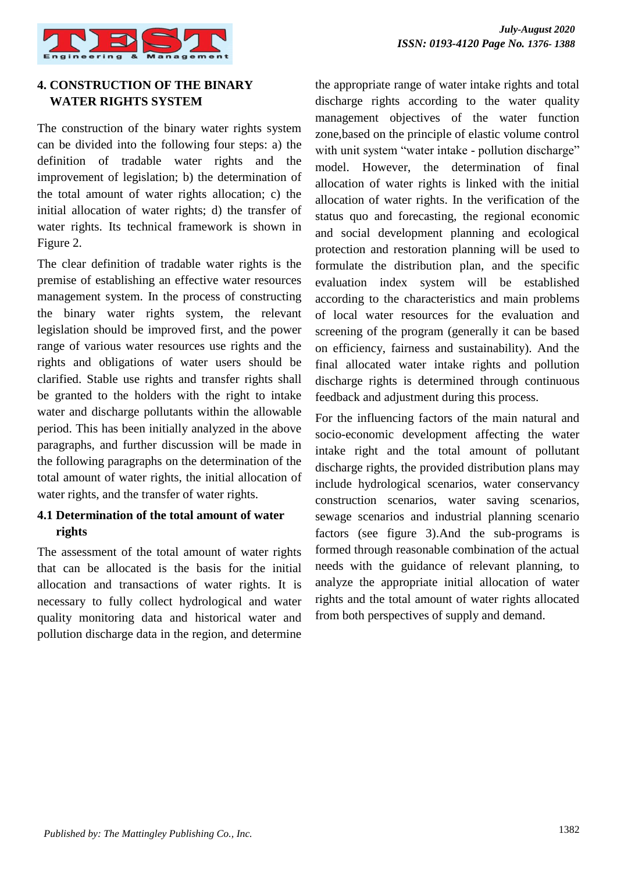

# **4. CONSTRUCTION OF THE BINARY WATER RIGHTS SYSTEM**

The construction of the binary water rights system can be divided into the following four steps: a) the definition of tradable water rights and the improvement of legislation; b) the determination of the total amount of water rights allocation; c) the initial allocation of water rights; d) the transfer of water rights. Its technical framework is shown in Figure 2.

The clear definition of tradable water rights is the premise of establishing an effective water resources management system. In the process of constructing the binary water rights system, the relevant legislation should be improved first, and the power range of various water resources use rights and the rights and obligations of water users should be clarified. Stable use rights and transfer rights shall be granted to the holders with the right to intake water and discharge pollutants within the allowable period. This has been initially analyzed in the above paragraphs, and further discussion will be made in the following paragraphs on the determination of the total amount of water rights, the initial allocation of water rights, and the transfer of water rights.

# **4.1 Determination of the total amount of water rights**

The assessment of the total amount of water rights that can be allocated is the basis for the initial allocation and transactions of water rights. It is necessary to fully collect hydrological and water quality monitoring data and historical water and pollution discharge data in the region, and determine the appropriate range of water intake rights and total discharge rights according to the water quality management objectives of the water function zone,based on the principle of elastic volume control with unit system "water intake - pollution discharge" model. However, the determination of final allocation of water rights is linked with the initial allocation of water rights. In the verification of the status quo and forecasting, the regional economic and social development planning and ecological protection and restoration planning will be used to formulate the distribution plan, and the specific evaluation index system will be established according to the characteristics and main problems of local water resources for the evaluation and screening of the program (generally it can be based on efficiency, fairness and sustainability). And the final allocated water intake rights and pollution discharge rights is determined through continuous feedback and adjustment during this process.

For the influencing factors of the main natural and socio-economic development affecting the water intake right and the total amount of pollutant discharge rights, the provided distribution plans may include hydrological scenarios, water conservancy construction scenarios, water saving scenarios, sewage scenarios and industrial planning scenario factors (see figure 3).And the sub-programs is formed through reasonable combination of the actual needs with the guidance of relevant planning, to analyze the appropriate initial allocation of water rights and the total amount of water rights allocated from both perspectives of supply and demand.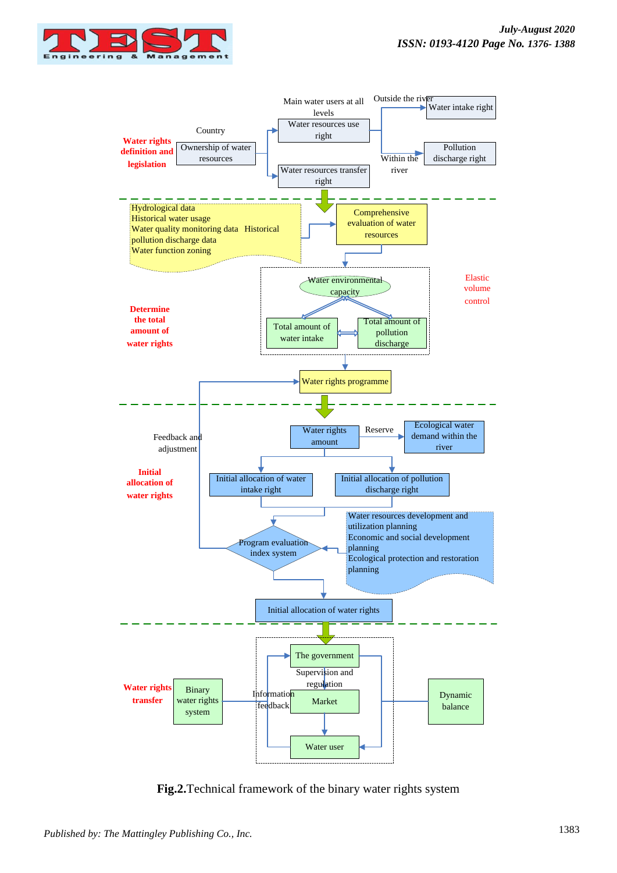



**Fig.2.**Technical framework of the binary water rights system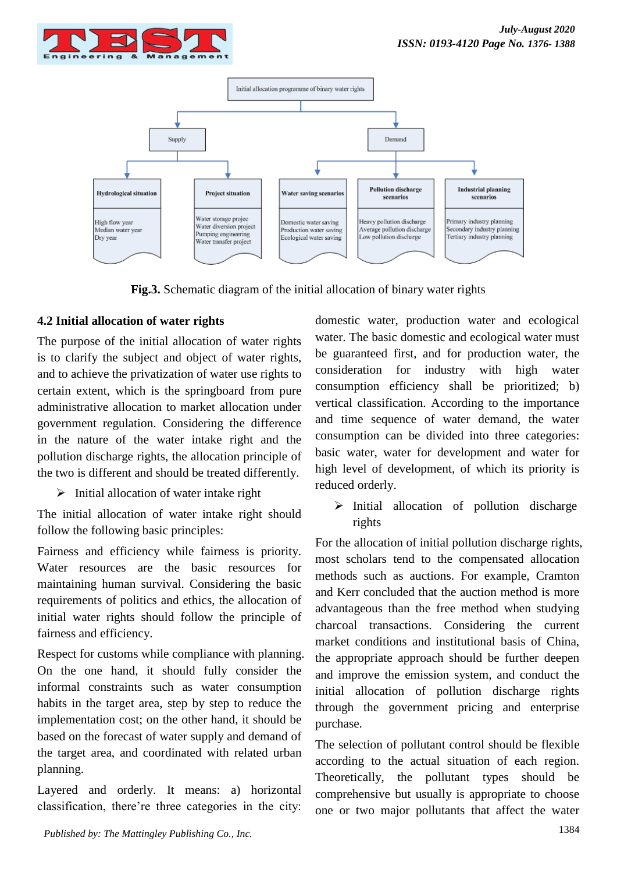



**Fig.3.** Schematic diagram of the initial allocation of binary water rights

# **4.2 Initial allocation of water rights**

The purpose of the initial allocation of water rights is to clarify the subject and object of water rights, and to achieve the privatization of water use rights to certain extent, which is the springboard from pure administrative allocation to market allocation under government regulation. Considering the difference in the nature of the water intake right and the pollution discharge rights, the allocation principle of the two is different and should be treated differently.

 $\triangleright$  Initial allocation of water intake right

The initial allocation of water intake right should follow the following basic principles:

Fairness and efficiency while fairness is priority. Water resources are the basic resources for maintaining human survival. Considering the basic requirements of politics and ethics, the allocation of initial water rights should follow the principle of fairness and efficiency.

Respect for customs while compliance with planning. On the one hand, it should fully consider the informal constraints such as water consumption habits in the target area, step by step to reduce the implementation cost; on the other hand, it should be based on the forecast of water supply and demand of the target area, and coordinated with related urban planning.

Layered and orderly. It means: a) horizontal classification, there're three categories in the city:

domestic water, production water and ecological water. The basic domestic and ecological water must be guaranteed first, and for production water, the consideration for industry with high water consumption efficiency shall be prioritized; b) vertical classification. According to the importance and time sequence of water demand, the water consumption can be divided into three categories: basic water, water for development and water for high level of development, of which its priority is reduced orderly.

 $\triangleright$  Initial allocation of pollution discharge rights

For the allocation of initial pollution discharge rights, most scholars tend to the compensated allocation methods such as auctions. For example, Cramton and Kerr concluded that the auction method is more advantageous than the free method when studying charcoal transactions. Considering the current market conditions and institutional basis of China, the appropriate approach should be further deepen and improve the emission system, and conduct the initial allocation of pollution discharge rights through the government pricing and enterprise purchase.

The selection of pollutant control should be flexible according to the actual situation of each region. Theoretically, the pollutant types should be comprehensive but usually is appropriate to choose one or two major pollutants that affect the water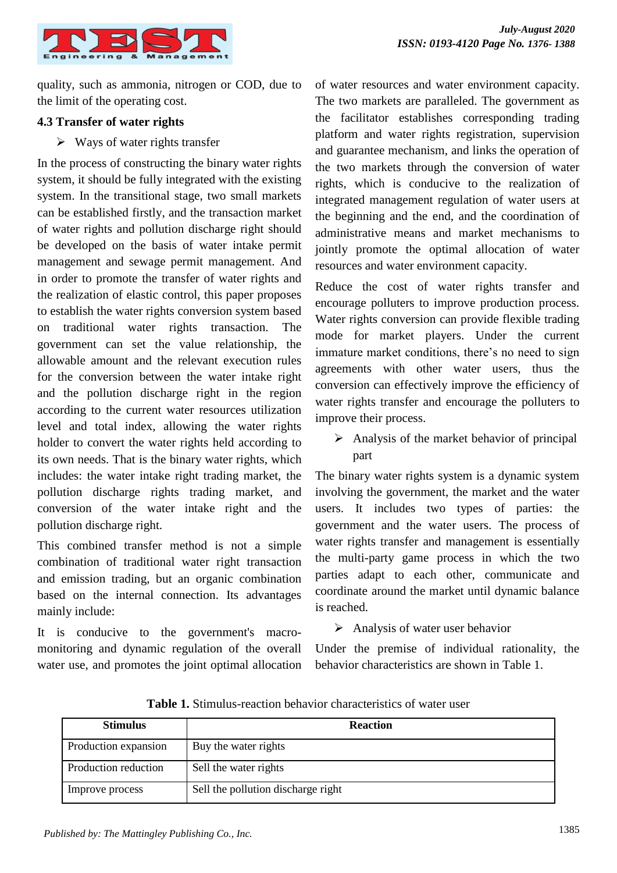

quality, such as ammonia, nitrogen or COD, due to the limit of the operating cost.

#### **4.3 Transfer of water rights**

 $\triangleright$  Ways of water rights transfer

In the process of constructing the binary water rights system, it should be fully integrated with the existing system. In the transitional stage, two small markets can be established firstly, and the transaction market of water rights and pollution discharge right should be developed on the basis of water intake permit management and sewage permit management. And in order to promote the transfer of water rights and the realization of elastic control, this paper proposes to establish the water rights conversion system based on traditional water rights transaction. The government can set the value relationship, the allowable amount and the relevant execution rules for the conversion between the water intake right and the pollution discharge right in the region according to the current water resources utilization level and total index, allowing the water rights holder to convert the water rights held according to its own needs. That is the binary water rights, which includes: the water intake right trading market, the pollution discharge rights trading market, and conversion of the water intake right and the pollution discharge right.

This combined transfer method is not a simple combination of traditional water right transaction and emission trading, but an organic combination based on the internal connection. Its advantages mainly include:

It is conducive to the government's macromonitoring and dynamic regulation of the overall water use, and promotes the joint optimal allocation of water resources and water environment capacity. The two markets are paralleled. The government as the facilitator establishes corresponding trading platform and water rights registration, supervision and guarantee mechanism, and links the operation of the two markets through the conversion of water rights, which is conducive to the realization of integrated management regulation of water users at the beginning and the end, and the coordination of administrative means and market mechanisms to jointly promote the optimal allocation of water resources and water environment capacity.

Reduce the cost of water rights transfer and encourage polluters to improve production process. Water rights conversion can provide flexible trading mode for market players. Under the current immature market conditions, there's no need to sign agreements with other water users, thus the conversion can effectively improve the efficiency of water rights transfer and encourage the polluters to improve their process.

 $\triangleright$  Analysis of the market behavior of principal part

The binary water rights system is a dynamic system involving the government, the market and the water users. It includes two types of parties: the government and the water users. The process of water rights transfer and management is essentially the multi-party game process in which the two parties adapt to each other, communicate and coordinate around the market until dynamic balance is reached.

## $\triangleright$  Analysis of water user behavior

Under the premise of individual rationality, the behavior characteristics are shown in Table 1.

| <b>Stimulus</b>      | <b>Reaction</b>                    |
|----------------------|------------------------------------|
| Production expansion | Buy the water rights               |
| Production reduction | Sell the water rights              |
| Improve process      | Sell the pollution discharge right |

**Table 1.** Stimulus-reaction behavior characteristics of water user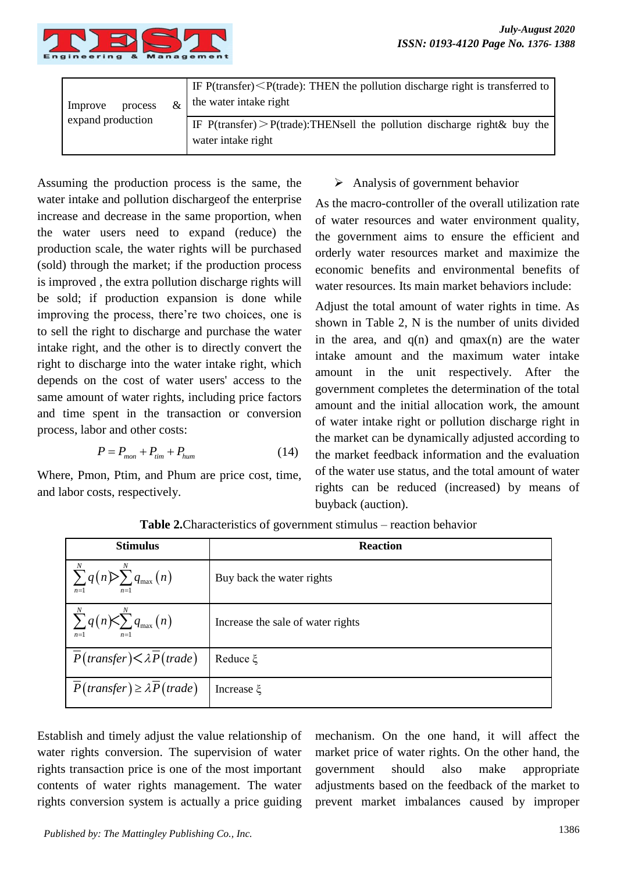

| Improve<br>process<br>expand production | IF $P$ (transfer) $\leq P$ (trade): THEN the pollution discharge right is transferred to<br>the water intake right |
|-----------------------------------------|--------------------------------------------------------------------------------------------------------------------|
|                                         | IF $P$ (transfer) > $P$ (trade): THENsell the pollution discharge right & buy the<br>water intake right            |

Assuming the production process is the same, the water intake and pollution dischargeof the enterprise increase and decrease in the same proportion, when the water users need to expand (reduce) the production scale, the water rights will be purchased (sold) through the market; if the production process is improved , the extra pollution discharge rights will be sold; if production expansion is done while improving the process, there're two choices, one is to sell the right to discharge and purchase the water intake right, and the other is to directly convert the right to discharge into the water intake right, which depends on the cost of water users' access to the same amount of water rights, including price factors and time spent in the transaction or conversion process, labor and other costs:

$$
P = P_{mon} + P_{lim} + P_{hum} \tag{14}
$$

Where, Pmon, Ptim, and Phum are price cost, time, and labor costs, respectively.

## $\triangleright$  Analysis of government behavior

As the macro-controller of the overall utilization rate of water resources and water environment quality, the government aims to ensure the efficient and orderly water resources market and maximize the economic benefits and environmental benefits of water resources. Its main market behaviors include:

Adjust the total amount of water rights in time. As shown in Table 2, N is the number of units divided in the area, and  $q(n)$  and  $qmax(n)$  are the water intake amount and the maximum water intake amount in the unit respectively. After the government completes the determination of the total amount and the initial allocation work, the amount of water intake right or pollution discharge right in the market can be dynamically adjusted according to the market feedback information and the evaluation of the water use status, and the total amount of water rights can be reduced (increased) by means of buyback (auction).

| <b>Stimulus</b>                                                         | <b>Reaction</b>                   |
|-------------------------------------------------------------------------|-----------------------------------|
| $\sum_{n=1}^{N} q(n) \sum_{n=1}^{N} q_{\max}(n)$<br>$n=1$<br>$n=1$      | Buy back the water rights         |
| $\sum_{n=1}^{N} q(n) \leq \sum_{n=1}^{N} q_{\max}(n)$<br>$n=1$<br>$n=1$ | Increase the sale of water rights |
| $\overline{P}(transfer) < \lambda \overline{P}(trade)$                  | Reduce ξ                          |
| $\overline{P}(transfer) \ge \lambda \overline{P}(trade)$                | Increase ξ                        |

**Table 2.**Characteristics of government stimulus – reaction behavior

Establish and timely adjust the value relationship of water rights conversion. The supervision of water rights transaction price is one of the most important contents of water rights management. The water rights conversion system is actually a price guiding mechanism. On the one hand, it will affect the market price of water rights. On the other hand, the government should also make appropriate adjustments based on the feedback of the market to prevent market imbalances caused by improper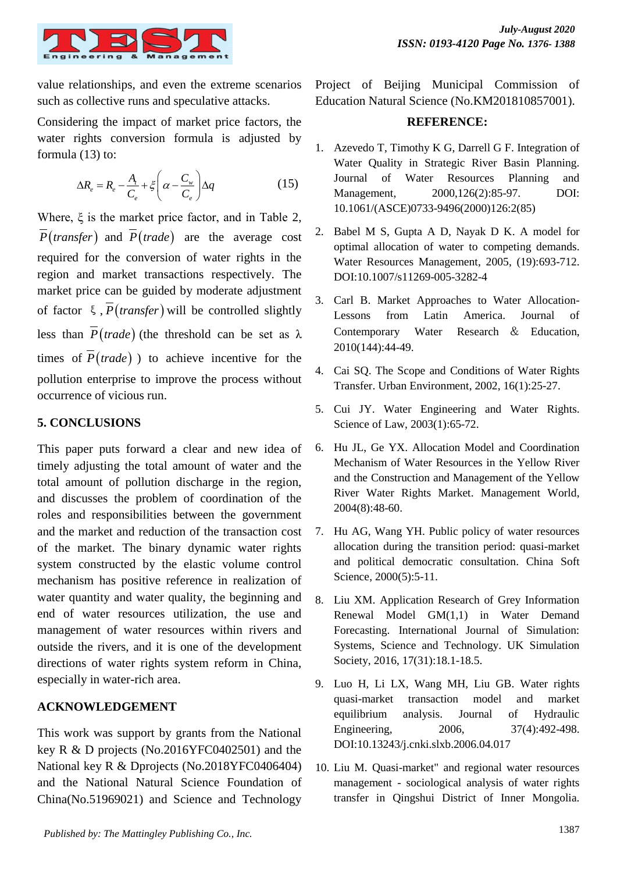

value relationships, and even the extreme scenarios such as collective runs and speculative attacks.

Considering the impact of market price factors, the water rights conversion formula is adjusted by formula (13) to:

$$
\Delta R_e = R_e - \frac{A_t}{C_e} + \xi \left( \alpha - \frac{C_w}{C_e} \right) \Delta q \tag{15}
$$

Where, ξ is the market price factor, and in Table 2,  $P(transfer)$  and  $P(trade)$  are the average cost required for the conversion of water rights in the region and market transactions respectively. The market price can be guided by moderate adjustment of factor  $\xi$ ,  $P$ (*transfer*) will be controlled slightly less than  $P(\text{trade})$  (the threshold can be set as  $\lambda$ times of  $P(\text{trade})$  to achieve incentive for the pollution enterprise to improve the process without occurrence of vicious run.

## **5. CONCLUSIONS**

This paper puts forward a clear and new idea of timely adjusting the total amount of water and the total amount of pollution discharge in the region, and discusses the problem of coordination of the roles and responsibilities between the government and the market and reduction of the transaction cost of the market. The binary dynamic water rights system constructed by the elastic volume control mechanism has positive reference in realization of water quantity and water quality, the beginning and end of water resources utilization, the use and management of water resources within rivers and outside the rivers, and it is one of the development directions of water rights system reform in China, especially in water-rich area.

## **ACKNOWLEDGEMENT**

This work was support by grants from the National key R & D projects (No.2016YFC0402501) and the National key R & Dprojects (No.2018YFC0406404) and the National Natural Science Foundation of China(No.51969021) and Science and Technology

Project of Beijing Municipal Commission of Education Natural Science (No.KM201810857001).

#### **REFERENCE:**

- 1. Azevedo T, Timothy K G, Darrell G F. Integration of Water Quality in Strategic River Basin Planning. Journal of Water Resources Planning and Management, 2000,126(2):85-97. DOI: 10.1061/(ASCE)0733-9496(2000)126:2(85)
- 2. Babel M S, Gupta A D, Nayak D K. A model for optimal allocation of water to competing demands. Water Resources Management, 2005, (19):693-712. DOI:10.1007/s11269-005-3282-4
- 3. Carl B. Market Approaches to Water Allocation-Lessons from Latin America. Journal of Contemporary Water Research & Education, 2010(144):44-49.
- 4. Cai SQ. The Scope and Conditions of Water Rights Transfer. Urban Environment, 2002, 16(1):25-27.
- 5. Cui JY. Water Engineering and Water Rights. Science of Law, 2003(1):65-72.
- 6. Hu JL, Ge YX. Allocation Model and Coordination Mechanism of Water Resources in the Yellow River and the Construction and Management of the Yellow River Water Rights Market. Management World, 2004(8):48-60.
- 7. Hu AG, Wang YH. Public policy of water resources allocation during the transition period: quasi-market and political democratic consultation. China Soft Science, 2000(5):5-11.
- 8. Liu XM. Application Research of Grey Information Renewal Model GM(1,1) in Water Demand Forecasting. International Journal of Simulation: Systems, Science and Technology. UK Simulation Society, 2016, 17(31):18.1-18.5.
- 9. Luo H, Li LX, Wang MH, Liu GB. Water rights quasi-market transaction model and market equilibrium analysis. Journal of Hydraulic Engineering, 2006, 37(4):492-498. DOI:10.13243/j.cnki.slxb.2006.04.017
- 10. Liu M. Quasi-market" and regional water resources management - sociological analysis of water rights transfer in Qingshui District of Inner Mongolia.